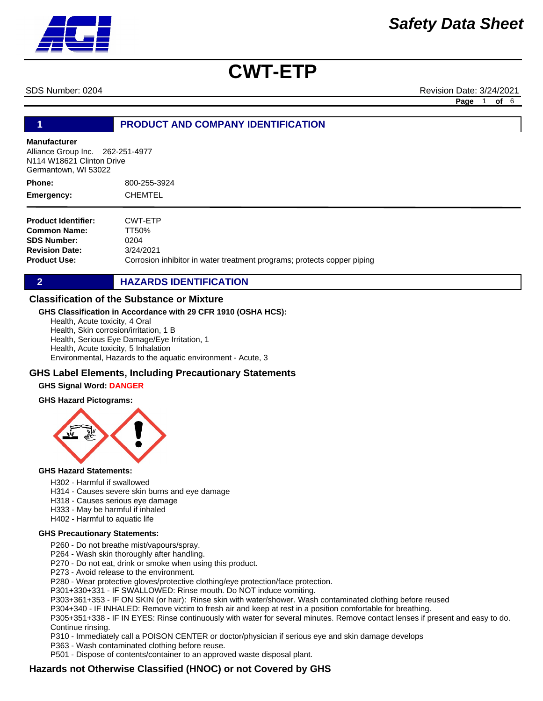SDS Number: 0204 Revision Date: 3/24/2021

**Page** 1 **of** 6

**1 PRODUCT AND COMPANY IDENTIFICATION**

### **Manufacturer**

Alliance Group Inc. 262-251-4977 N114 W18621 Clinton Drive Germantown, WI 53022

| Phone:     | 800-255-3924 |
|------------|--------------|
| Emergency: | CHEMTEL      |

**Product Identifier: Common Name: SDS Number: Revision Date: Product Use:** CWT-ETP TT50% 0204 3/24/2021 Corrosion inhibitor in water treatment programs; protects copper piping

**2 HAZARDS IDENTIFICATION** 

## **Classification of the Substance or Mixture**

### **GHS Classification in Accordance with 29 CFR 1910 (OSHA HCS):**

Health, Acute toxicity, 4 Oral Health, Skin corrosion/irritation, 1 B Health, Serious Eye Damage/Eye Irritation, 1 Health, Acute toxicity, 5 Inhalation Environmental, Hazards to the aquatic environment - Acute, 3

## **GHS Label Elements, Including Precautionary Statements**

### **GHS Signal Word: DANGER**

#### **GHS Hazard Pictograms:**



#### **GHS Hazard Statements:**

- H302 Harmful if swallowed
- H314 Causes severe skin burns and eye damage
- H318 Causes serious eye damage
- H333 May be harmful if inhaled
- H402 Harmful to aquatic life

#### **GHS Precautionary Statements:**

P260 - Do not breathe mist/vapours/spray.

P264 - Wash skin thoroughly after handling.

P270 - Do not eat, drink or smoke when using this product.

P273 - Avoid release to the environment.

P280 - Wear protective gloves/protective clothing/eye protection/face protection.

P301+330+331 - IF SWALLOWED: Rinse mouth. Do NOT induce vomiting.

P303+361+353 - IF ON SKIN (or hair): Rinse skin with water/shower. Wash contaminated clothing before reused

P304+340 - IF INHALED: Remove victim to fresh air and keep at rest in a position comfortable for breathing.

P305+351+338 - IF IN EYES: Rinse continuously with water for several minutes. Remove contact lenses if present and easy to do. Continue rinsing.

P310 - Immediately call a POISON CENTER or doctor/physician if serious eye and skin damage develops

P363 - Wash contaminated clothing before reuse.

P501 - Dispose of contents/container to an approved waste disposal plant.

# **Hazards not Otherwise Classified (HNOC) or not Covered by GHS**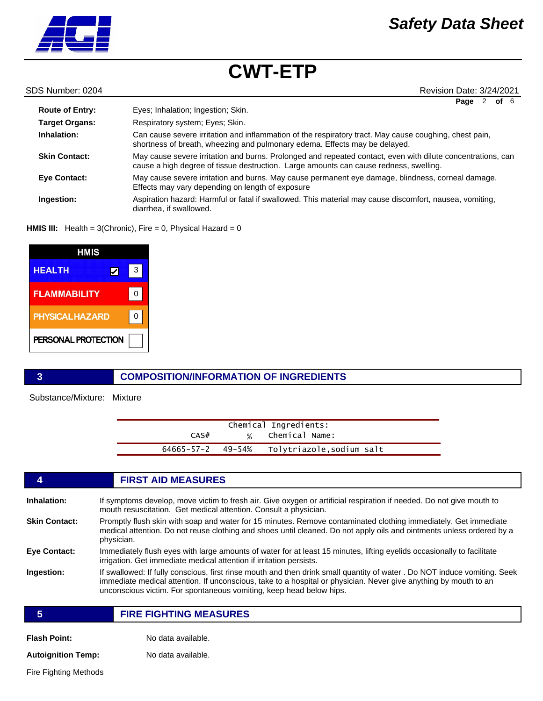

**Route of Entry: Target Organs: Inhalation: Skin Contact: Eye Contact:** Respiratory system; Eyes; Skin. Can cause severe irritation and inflammation of the respiratory tract. May cause coughing, chest pain, shortness of breath, wheezing and pulmonary edema. Effects may be delayed. May cause severe irritation and burns. Prolonged and repeated contact, even with dilute concentrations, can cause a high degree of tissue destruction. Large amounts can cause redness, swelling. May cause severe irritation and burns. May cause permanent eye damage, blindness, corneal damage. Effects may vary depending on length of exposure **Ingestion:** Aspiration hazard: Harmful or fatal if swallowed. This material may cause discomfort, nausea, vomiting, diarrhea, if swallowed. Eyes; Inhalation; Ingestion; Skin. SDS Number: 0204 Revision Date: 3/24/2021 **Page** 2 **of** 6

**HMIS III:** Health = 3(Chronic), Fire = 0, Physical Hazard = 0

| <b>HMIS</b>            |   |
|------------------------|---|
| <b>HEALTH</b>          | 3 |
| <b>FLAMMABILITY</b>    |   |
| <b>PHYSICAL HAZARD</b> |   |
| PERSONAL PROTECTION    |   |

## **3 COMPOSITION/INFORMATION OF INGREDIENTS**

Substance/Mixture: Mixture

| Chemical Ingredients:   |  |                          |  |
|-------------------------|--|--------------------------|--|
| CAS#                    |  | % Chemical Name:         |  |
| $64665 - 57 - 2$ 49-54% |  | Tolytriazole,sodium salt |  |

|                      | <b>FIRST AID MEASURES</b>                                                                                                                                                                                                                                                                                            |  |  |
|----------------------|----------------------------------------------------------------------------------------------------------------------------------------------------------------------------------------------------------------------------------------------------------------------------------------------------------------------|--|--|
| Inhalation:          | If symptoms develop, move victim to fresh air. Give oxygen or artificial respiration if needed. Do not give mouth to<br>mouth resuscitation. Get medical attention. Consult a physician.                                                                                                                             |  |  |
| <b>Skin Contact:</b> | Promptly flush skin with soap and water for 15 minutes. Remove contaminated clothing immediately. Get immediate<br>medical attention. Do not reuse clothing and shoes until cleaned. Do not apply oils and ointments unless ordered by a<br>physician.                                                               |  |  |
| <b>Eye Contact:</b>  | Immediately flush eyes with large amounts of water for at least 15 minutes, lifting eyelids occasionally to facilitate<br>irrigation. Get immediate medical attention if irritation persists.                                                                                                                        |  |  |
| Ingestion:           | If swallowed: If fully conscious, first rinse mouth and then drink small quantity of water . Do NOT induce vomiting. Seek<br>immediate medical attention. If unconscious, take to a hospital or physician. Never give anything by mouth to an<br>unconscious victim. For spontaneous vomiting, keep head below hips. |  |  |
| 5                    | <b>FIRE FIGHTING MEASURES</b>                                                                                                                                                                                                                                                                                        |  |  |
| <b>Flash Point:</b>  | No data available.                                                                                                                                                                                                                                                                                                   |  |  |

**Autoignition Temp:** No data available.

Fire Fighting Methods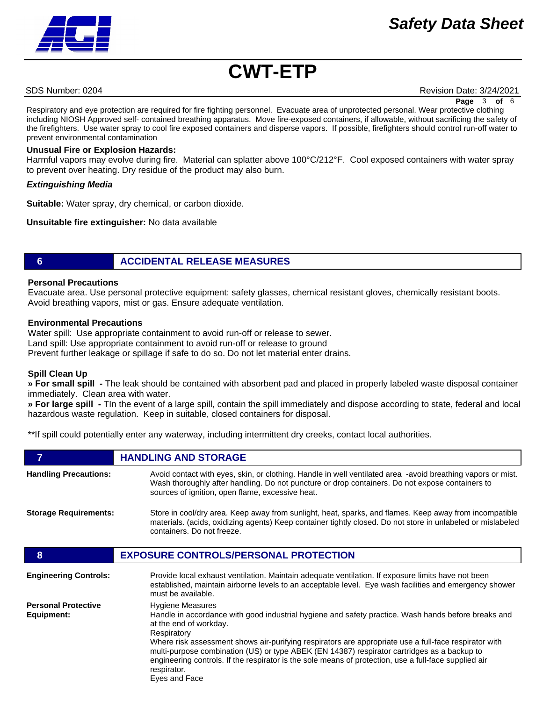# *Safety Data Sheet*



# **CWT-ETP**

SDS Number: 0204 Revision Date: 3/24/2021

**Page** 3 **of** 6

Respiratory and eye protection are required for fire fighting personnel. Evacuate area of unprotected personal. Wear protective clothing including NIOSH Approved self- contained breathing apparatus. Move fire-exposed containers, if allowable, without sacrificing the safety of the firefighters. Use water spray to cool fire exposed containers and disperse vapors. If possible, firefighters should control run-off water to prevent environmental contamination

### **Unusual Fire or Explosion Hazards:**

Harmful vapors may evolve during fire. Material can splatter above 100°C/212°F. Cool exposed containers with water spray to prevent over heating. Dry residue of the product may also burn.

#### *Extinguishing Media*

**Suitable:** Water spray, dry chemical, or carbon dioxide.

**Unsuitable fire extinguisher:** No data available

# **6 ACCIDENTAL RELEASE MEASURES**

#### **Personal Precautions**

Evacuate area. Use personal protective equipment: safety glasses, chemical resistant gloves, chemically resistant boots. Avoid breathing vapors, mist or gas. Ensure adequate ventilation.

#### **Environmental Precautions**

Water spill: Use appropriate containment to avoid run-off or release to sewer. Land spill: Use appropriate containment to avoid run-off or release to ground Prevent further leakage or spillage if safe to do so. Do not let material enter drains.

### **Spill Clean Up**

**» For small spill -** The leak should be contained with absorbent pad and placed in properly labeled waste disposal container immediately. Clean area with water.

**» For large spill -** TIn the event of a large spill, contain the spill immediately and dispose according to state, federal and local hazardous waste regulation. Keep in suitable, closed containers for disposal.

\*\*If spill could potentially enter any waterway, including intermittent dry creeks, contact local authorities.

|                              | <b>HANDLING AND STORAGE</b>                                                                                                                                                                                                                                        |  |
|------------------------------|--------------------------------------------------------------------------------------------------------------------------------------------------------------------------------------------------------------------------------------------------------------------|--|
| <b>Handling Precautions:</b> | Avoid contact with eyes, skin, or clothing. Handle in well ventilated area -avoid breathing vapors or mist.<br>Wash thoroughly after handling. Do not puncture or drop containers. Do not expose containers to<br>sources of ignition, open flame, excessive heat. |  |
| <b>Storage Requirements:</b> | Store in cool/dry area. Keep away from sunlight, heat, sparks, and flames. Keep away from incompatible<br>materials. (acids, oxidizing agents) Keep container tightly closed. Do not store in unlabeled or mislabeled<br>containers. Do not freeze.                |  |
|                              | <b>EXPOSURE CONTROLS/PERSONAL PROTECTION</b>                                                                                                                                                                                                                       |  |
| <b>Engineering Controls:</b> | Provide local exhaust ventilation. Maintain adequate ventilation. If exposure limits have not been                                                                                                                                                                 |  |

|                                          | established, maintain airborne levels to an acceptable level. Eye wash facilities and emergency shower<br>must be available.                                                                                                                                                                                                                                                                                                                                                                                             |
|------------------------------------------|--------------------------------------------------------------------------------------------------------------------------------------------------------------------------------------------------------------------------------------------------------------------------------------------------------------------------------------------------------------------------------------------------------------------------------------------------------------------------------------------------------------------------|
| <b>Personal Protective</b><br>Equipment: | <b>Hygiene Measures</b><br>Handle in accordance with good industrial hygiene and safety practice. Wash hands before breaks and<br>at the end of workday.<br>Respiratory<br>Where risk assessment shows air-purifying respirators are appropriate use a full-face respirator with<br>multi-purpose combination (US) or type ABEK (EN 14387) respirator cartridges as a backup to<br>engineering controls. If the respirator is the sole means of protection, use a full-face supplied air<br>respirator.<br>Eyes and Face |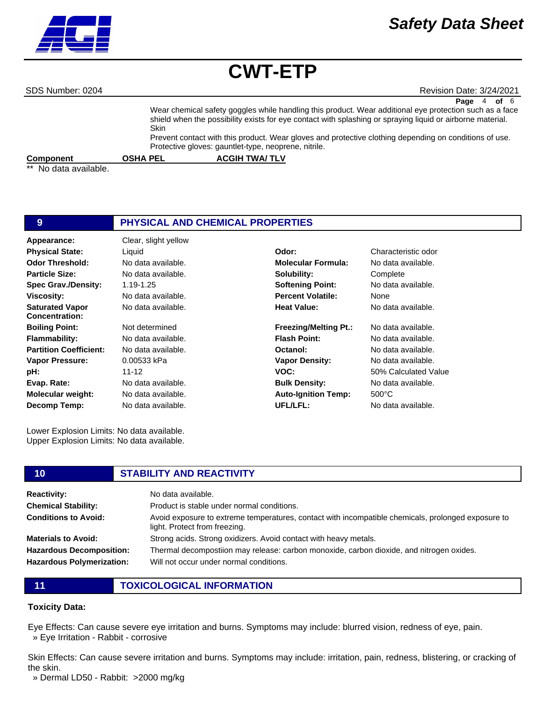

# *Safety Data Sheet*

# **CWT-ETP**

SDS Number: 0204 Revision Date: 3/24/2021

Wear chemical safety goggles while handling this product. Wear additional eye protection such as a face shield when the possibility exists for eye contact with splashing or spraying liquid or airborne material. Skin Prevent contact with this product. Wear gloves and protective clothing depending on conditions of use. Protective gloves: gauntlet-type, neoprene, nitrile. **Page** 4 **of** 6

**Component COSHA PEL COMPONENT ACGIH TWA/ TLV** 

No data available.

| 9                                               | PHYSICAL AND CHEMICAL PROPERTIES |                              |                      |
|-------------------------------------------------|----------------------------------|------------------------------|----------------------|
| Appearance:                                     | Clear, slight yellow             |                              |                      |
| <b>Physical State:</b>                          | Liquid                           | Odor:                        | Characteristic odor  |
| <b>Odor Threshold:</b>                          | No data available.               | <b>Molecular Formula:</b>    | No data available.   |
| <b>Particle Size:</b>                           | No data available.               | Solubility:                  | Complete             |
| <b>Spec Grav./Density:</b>                      | 1.19-1.25                        | <b>Softening Point:</b>      | No data available.   |
| <b>Viscosity:</b>                               | No data available.               | <b>Percent Volatile:</b>     | None                 |
| <b>Saturated Vapor</b><br><b>Concentration:</b> | No data available.               | <b>Heat Value:</b>           | No data available.   |
| <b>Boiling Point:</b>                           | Not determined                   | <b>Freezing/Melting Pt.:</b> | No data available.   |
| <b>Flammability:</b>                            | No data available.               | <b>Flash Point:</b>          | No data available.   |
| <b>Partition Coefficient:</b>                   | No data available.               | Octanol:                     | No data available.   |
| <b>Vapor Pressure:</b>                          | 0.00533 kPa                      | <b>Vapor Density:</b>        | No data available.   |
| pH:                                             | $11 - 12$                        | VOC:                         | 50% Calculated Value |
| Evap. Rate:                                     | No data available.               | <b>Bulk Density:</b>         | No data available.   |
| <b>Molecular weight:</b>                        | No data available.               | <b>Auto-Ignition Temp:</b>   | $500^{\circ}$ C      |
| Decomp Temp:                                    | No data available.               | UFL/LFL:                     | No data available.   |

Lower Explosion Limits: No data available. Upper Explosion Limits: No data available.

#### **10 STABILITY AND REACTIVITY Reactivity:** No data available. **Chemical Stability: Conditions to Avoid: Materials to Avoid: Hazardous Decomposition: Hazardous Polymerization:** Product is stable under normal conditions. Avoid exposure to extreme temperatures, contact with incompatible chemicals, prolonged exposure to light. Protect from freezing. Strong acids. Strong oxidizers. Avoid contact with heavy metals. Thermal decompostiion may release: carbon monoxide, carbon dioxide, and nitrogen oxides. Will not occur under normal conditions.

**11 TOXICOLOGICAL INFORMATION**

## **Toxicity Data:**

Eye Effects: Can cause severe eye irritation and burns. Symptoms may include: blurred vision, redness of eye, pain. » Eye Irritation - Rabbit - corrosive

Skin Effects: Can cause severe irritation and burns. Symptoms may include: irritation, pain, redness, blistering, or cracking of the skin.

» Dermal LD50 - Rabbit: >2000 mg/kg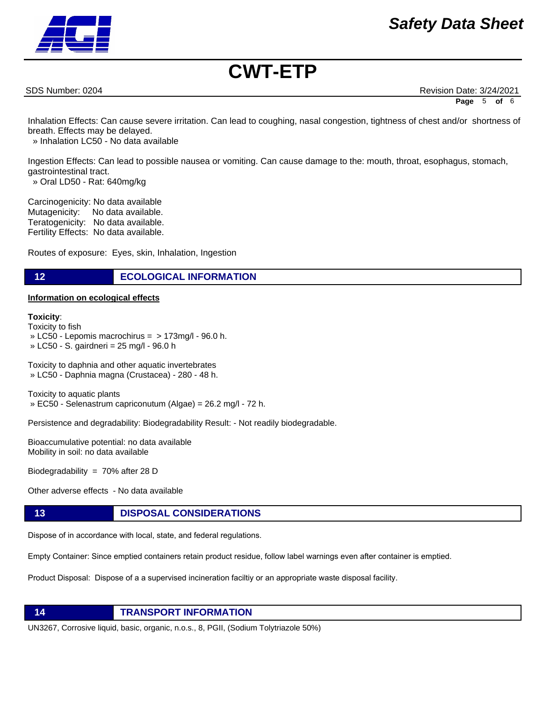

SDS Number: 0204 Revision Date: 3/24/2021 **Page** 5 **of** 6

Inhalation Effects: Can cause severe irritation. Can lead to coughing, nasal congestion, tightness of chest and/or shortness of breath. Effects may be delayed.

» Inhalation LC50 - No data available

Ingestion Effects: Can lead to possible nausea or vomiting. Can cause damage to the: mouth, throat, esophagus, stomach, gastrointestinal tract.

» Oral LD50 - Rat: 640mg/kg

Carcinogenicity: No data available Mutagenicity: No data available. Teratogenicity: No data available. Fertility Effects: No data available.

Routes of exposure: Eyes, skin, Inhalation, Ingestion

# **12 ECOLOGICAL INFORMATION**

### **Information on ecological effects**

#### **Toxicity**:

Toxicity to fish » LC50 - Lepomis macrochirus = > 173mg/l - 96.0 h. » LC50 - S. gairdneri = 25 mg/l - 96.0 h

Toxicity to daphnia and other aquatic invertebrates » LC50 - Daphnia magna (Crustacea) - 280 - 48 h.

Toxicity to aquatic plants » EC50 - Selenastrum capriconutum (Algae) = 26.2 mg/l - 72 h.

Persistence and degradability: Biodegradability Result: - Not readily biodegradable.

Bioaccumulative potential: no data available Mobility in soil: no data available

Biodegradability = 70% after 28 D

Other adverse effects - No data available

# **13 DISPOSAL CONSIDERATIONS**

Dispose of in accordance with local, state, and federal regulations.

Empty Container: Since emptied containers retain product residue, follow label warnings even after container is emptied.

Product Disposal: Dispose of a a supervised incineration faciltiy or an appropriate waste disposal facility.



UN3267, Corrosive liquid, basic, organic, n.o.s., 8, PGII, (Sodium Tolytriazole 50%)